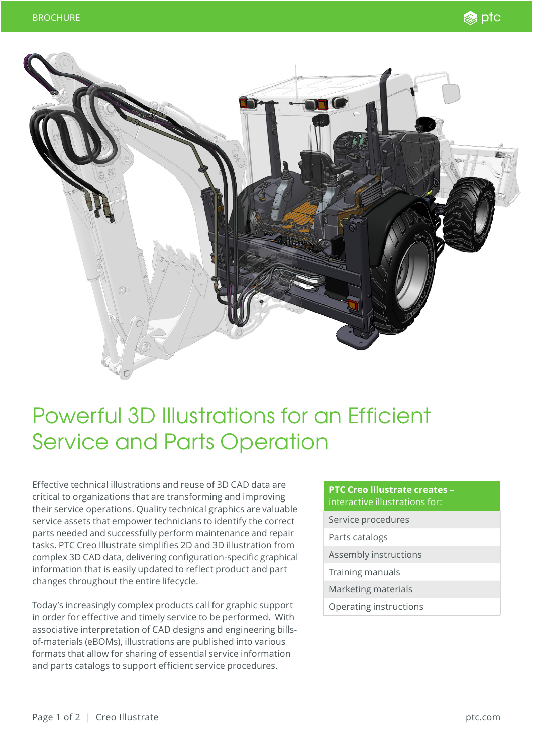



## Powerful 3D Illustrations for an Efficient Service and Parts Operation

Effective technical illustrations and reuse of 3D CAD data are critical to organizations that are transforming and improving their service operations. Quality technical graphics are valuable service assets that empower technicians to identify the correct parts needed and successfully perform maintenance and repair tasks. PTC Creo Illustrate simplifies 2D and 3D illustration from complex 3D CAD data, delivering configuration-specific graphical information that is easily updated to reflect product and part changes throughout the entire lifecycle.

Today's increasingly complex products call for graphic support in order for effective and timely service to be performed. With associative interpretation of CAD designs and engineering billsof-materials (eBOMs), illustrations are published into various formats that allow for sharing of essential service information and parts catalogs to support efficient service procedures.

## **PTC Creo Illustrate creates –** interactive illustrations for:

- Service procedures
- Parts catalogs
- Assembly instructions
- Training manuals
- Marketing materials
- Operating instructions